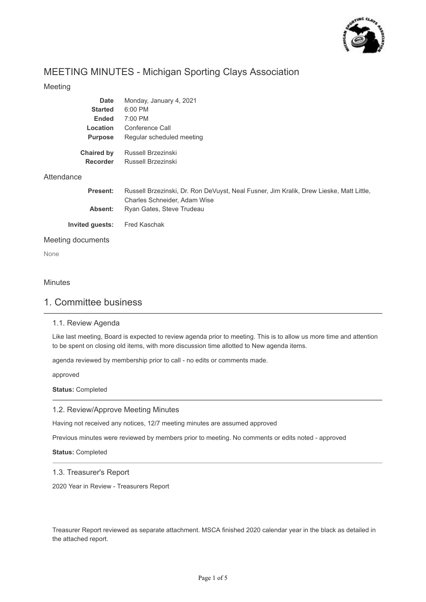

# MEETING MINUTES - Michigan Sporting Clays Association

## Meeting

| <b>Date</b>            | Monday, January 4, 2021                                                                                                 |
|------------------------|-------------------------------------------------------------------------------------------------------------------------|
| <b>Started</b>         | $6:00$ PM                                                                                                               |
| Ended                  | $7:00$ PM                                                                                                               |
| Location               | Conference Call                                                                                                         |
| <b>Purpose</b>         | Regular scheduled meeting                                                                                               |
| <b>Chaired by</b>      | Russell Brzezinski                                                                                                      |
| <b>Recorder</b>        | Russell Brzezinski                                                                                                      |
| Attendance             |                                                                                                                         |
| <b>Present:</b>        | Russell Brzezinski, Dr. Ron DeVuyst, Neal Fusner, Jim Kralik, Drew Lieske, Matt Little,<br>Charles Schneider, Adam Wise |
| Absent:                | Ryan Gates, Steve Trudeau                                                                                               |
| <b>Invited guests:</b> | <b>Fred Kaschak</b>                                                                                                     |

### Meeting documents

None

### **Minutes**

## 1. Committee business

### 1.1. Review Agenda

Like last meeting, Board is expected to review agenda prior to meeting. This is to allow us more time and attention to be spent on closing old items, with more discussion time allotted to New agenda items.

agenda reviewed by membership prior to call - no edits or comments made.

approved

**Status:** Completed

## 1.2. Review/Approve Meeting Minutes

Having not received any notices, 12/7 meeting minutes are assumed approved

Previous minutes were reviewed by members prior to meeting. No comments or edits noted - approved

**Status:** Completed

### 1.3. Treasurer's Report

2020 Year in Review - Treasurers Report

Treasurer Report reviewed as separate attachment. MSCA finished 2020 calendar year in the black as detailed in the attached report.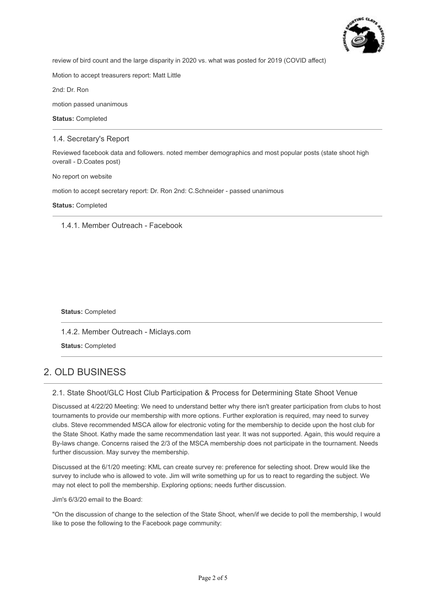

review of bird count and the large disparity in 2020 vs. what was posted for 2019 (COVID affect)

Motion to accept treasurers report: Matt Little

2nd: Dr. Ron

motion passed unanimous

**Status:** Completed

### 1.4. Secretary's Report

Reviewed facebook data and followers. noted member demographics and most popular posts (state shoot high overall - D.Coates post)

No report on website

motion to accept secretary report: Dr. Ron 2nd: C.Schneider - passed unanimous

**Status:** Completed

1.4.1. Member Outreach - Facebook

### **Status:** Completed

1.4.2. Member Outreach - Miclays.com

**Status:** Completed

# 2. OLD BUSINESS

## 2.1. State Shoot/GLC Host Club Participation & Process for Determining State Shoot Venue

Discussed at 4/22/20 Meeting: We need to understand better why there isn't greater participation from clubs to host tournaments to provide our membership with more options. Further exploration is required, may need to survey clubs. Steve recommended MSCA allow for electronic voting for the membership to decide upon the host club for the State Shoot. Kathy made the same recommendation last year. It was not supported. Again, this would require a By-laws change. Concerns raised the 2/3 of the MSCA membership does not participate in the tournament. Needs further discussion. May survey the membership.

Discussed at the 6/1/20 meeting: KML can create survey re: preference for selecting shoot. Drew would like the survey to include who is allowed to vote. Jim will write something up for us to react to regarding the subject. We may not elect to poll the membership. Exploring options; needs further discussion.

### Jim's 6/3/20 email to the Board:

"On the discussion of change to the selection of the State Shoot, when/if we decide to poll the membership, I would like to pose the following to the Facebook page community: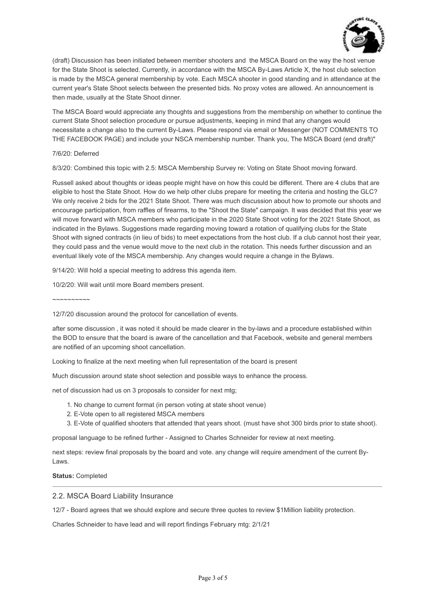

(draft) Discussion has been initiated between member shooters and the MSCA Board on the way the host venue for the State Shoot is selected. Currently, in accordance with the MSCA By-Laws Article X, the host club selection is made by the MSCA general membership by vote. Each MSCA shooter in good standing and in attendance at the current year's State Shoot selects between the presented bids. No proxy votes are allowed. An announcement is then made, usually at the State Shoot dinner.

The MSCA Board would appreciate any thoughts and suggestions from the membership on whether to continue the current State Shoot selection procedure or pursue adjustments, keeping in mind that any changes would necessitate a change also to the current By-Laws. Please respond via email or Messenger (NOT COMMENTS TO THE FACEBOOK PAGE) and include your NSCA membership number. Thank you, The MSCA Board (end draft)"

#### 7/6/20: Deferred

8/3/20: Combined this topic with 2.5: MSCA Membership Survey re: Voting on State Shoot moving forward.

Russell asked about thoughts or ideas people might have on how this could be different. There are 4 clubs that are eligible to host the State Shoot. How do we help other clubs prepare for meeting the criteria and hosting the GLC? We only receive 2 bids for the 2021 State Shoot. There was much discussion about how to promote our shoots and encourage participation, from raffles of firearms, to the "Shoot the State" campaign. It was decided that this year we will move forward with MSCA members who participate in the 2020 State Shoot voting for the 2021 State Shoot, as indicated in the Bylaws. Suggestions made regarding moving toward a rotation of qualifying clubs for the State Shoot with signed contracts (in lieu of bids) to meet expectations from the host club. If a club cannot host their year, they could pass and the venue would move to the next club in the rotation. This needs further discussion and an eventual likely vote of the MSCA membership. Any changes would require a change in the Bylaws.

9/14/20: Will hold a special meeting to address this agenda item.

10/2/20: Will wait until more Board members present.

 $\sim$ ~~~~~~~~

12/7/20 discussion around the protocol for cancellation of events.

after some discussion , it was noted it should be made clearer in the by-laws and a procedure established within the BOD to ensure that the board is aware of the cancellation and that Facebook, website and general members are notified of an upcoming shoot cancellation.

Looking to finalize at the next meeting when full representation of the board is present

Much discussion around state shoot selection and possible ways to enhance the process.

net of discussion had us on 3 proposals to consider for next mtg;

- 1. No change to current format (in person voting at state shoot venue)
- 2. E-Vote open to all registered MSCA members
- 3. E-Vote of qualified shooters that attended that years shoot. (must have shot 300 birds prior to state shoot).

proposal language to be refined further - Assigned to Charles Schneider for review at next meeting.

next steps: review final proposals by the board and vote. any change will require amendment of the current By-Laws.

## **Status:** Completed

### 2.2. MSCA Board Liability Insurance

12/7 - Board agrees that we should explore and secure three quotes to review \$1Million liability protection.

Charles Schneider to have lead and will report findings February mtg: 2/1/21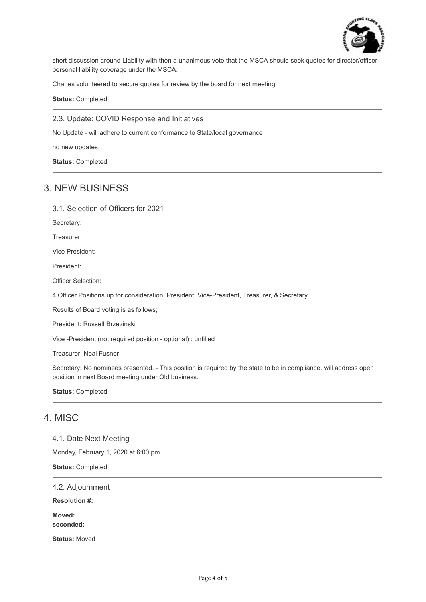

short discussion around Liability with then a unanimous vote that the MSCA should seek quotes for director/officer personal liability coverage under the MSCA.

Charles volunteered to secure quotes for review by the board for next meeting

**Status:** Completed

#### 2.3. Update: COVID Response and Initiatives

No Update - will adhere to current conformance to State/local governance

no new updates.

**Status:** Completed

# 3. NEW BUSINESS

3.1. Selection of Officers for 2021

Secretary:

Treasurer:

Vice President:

President:

Officer Selection:

4 Officer Positions up for consideration: President, Vice-President, Treasurer, & Secretary

Results of Board voting is as follows;

President: Russell Brzezinski

Vice -President (not required position - optional) : unfilled

Treasurer: Neal Fusner

Secretary: No nominees presented. - This position is required by the state to be in compliance. will address open position in next Board meeting under Old business.

**Status:** Completed

## 4. MISC

4.1. Date Next Meeting

Monday, February 1, 2020 at 6:00 pm.

**Status:** Completed

4.2. Adjournment

**Resolution #:**

**Moved: seconded:**

**Status:** Moved